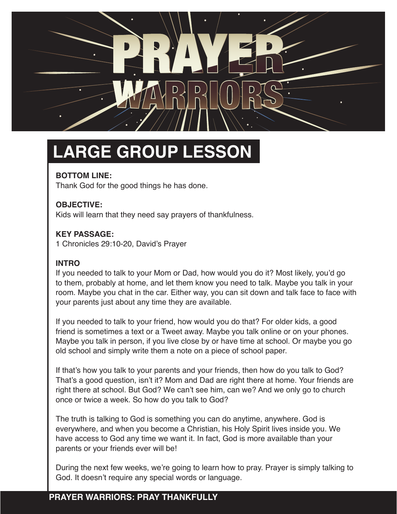

## **LARGE GROUP LESSON**

### **BOTTOM LINE:**

Thank God for the good things he has done.

#### **OBJECTIVE:**

Kids will learn that they need say prayers of thankfulness.

#### **KEY PASSAGE:**

1 Chronicles 29:10-20, David's Prayer

#### **INTRO**

If you needed to talk to your Mom or Dad, how would you do it? Most likely, you'd go to them, probably at home, and let them know you need to talk. Maybe you talk in your room. Maybe you chat in the car. Either way, you can sit down and talk face to face with your parents just about any time they are available.

If you needed to talk to your friend, how would you do that? For older kids, a good friend is sometimes a text or a Tweet away. Maybe you talk online or on your phones. Maybe you talk in person, if you live close by or have time at school. Or maybe you go old school and simply write them a note on a piece of school paper.

If that's how you talk to your parents and your friends, then how do you talk to God? That's a good question, isn't it? Mom and Dad are right there at home. Your friends are right there at school. But God? We can't see him, can we? And we only go to church once or twice a week. So how do you talk to God?

The truth is talking to God is something you can do anytime, anywhere. God is everywhere, and when you become a Christian, his Holy Spirit lives inside you. We have access to God any time we want it. In fact, God is more available than your parents or your friends ever will be!

During the next few weeks, we're going to learn how to pray. Prayer is simply talking to God. It doesn't require any special words or language.

### **PRAYER WARRIORS: PRAY THANKFULLY**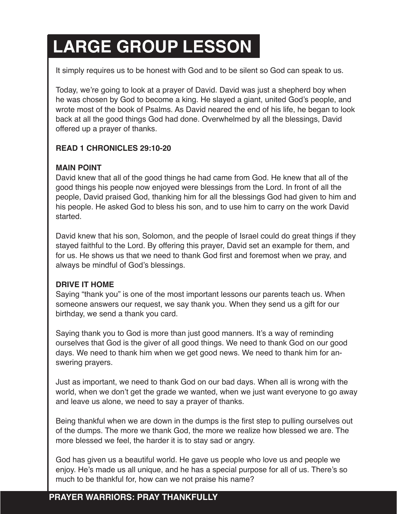## **LARGE GROUP LESSON**

It simply requires us to be honest with God and to be silent so God can speak to us.

Today, we're going to look at a prayer of David. David was just a shepherd boy when he was chosen by God to become a king. He slayed a giant, united God's people, and wrote most of the book of Psalms. As David neared the end of his life, he began to look back at all the good things God had done. Overwhelmed by all the blessings, David offered up a prayer of thanks.

#### **READ 1 CHRONICLES 29:10-20**

#### **MAIN POINT**

David knew that all of the good things he had came from God. He knew that all of the good things his people now enjoyed were blessings from the Lord. In front of all the people, David praised God, thanking him for all the blessings God had given to him and his people. He asked God to bless his son, and to use him to carry on the work David started.

David knew that his son, Solomon, and the people of Israel could do great things if they stayed faithful to the Lord. By offering this prayer, David set an example for them, and for us. He shows us that we need to thank God first and foremost when we pray, and always be mindful of God's blessings.

#### **DRIVE IT HOME**

Saying "thank you" is one of the most important lessons our parents teach us. When someone answers our request, we say thank you. When they send us a gift for our birthday, we send a thank you card.

Saying thank you to God is more than just good manners. It's a way of reminding ourselves that God is the giver of all good things. We need to thank God on our good days. We need to thank him when we get good news. We need to thank him for answering prayers.

Just as important, we need to thank God on our bad days. When all is wrong with the world, when we don't get the grade we wanted, when we just want everyone to go away and leave us alone, we need to say a prayer of thanks.

Being thankful when we are down in the dumps is the first step to pulling ourselves out of the dumps. The more we thank God, the more we realize how blessed we are. The more blessed we feel, the harder it is to stay sad or angry.

God has given us a beautiful world. He gave us people who love us and people we enjoy. He's made us all unique, and he has a special purpose for all of us. There's so much to be thankful for, how can we not praise his name?

## **PRAYER WARRIORS: PRAY THANKFULLY**